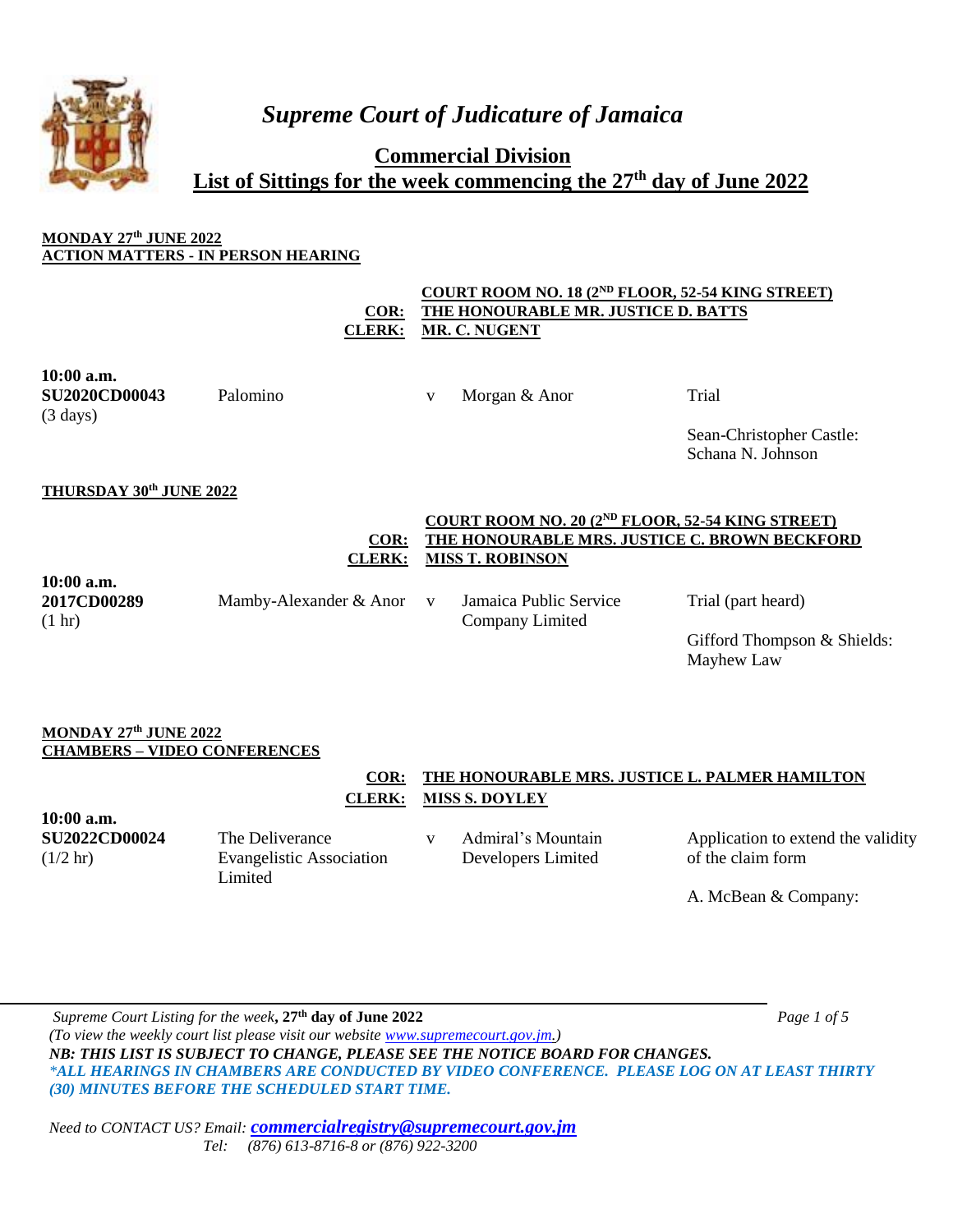

*Supreme Court of Judicature of Jamaica*

**Commercial Division List of Sittings for the week commencing the 27th day of June 2022**

# **MONDAY 27th JUNE 2022 ACTION MATTERS - IN PERSON HEARING**

**COR: COURT ROOM NO. 18 (2ND FLOOR, 52-54 KING STREET) THE HONOURABLE MR. JUSTICE D. BATTS CLERK: MR. C. NUGENT**

**10:00 a.m. SU2020CD00043** (3 days)

Palomino v Morgan & Anor Trial

Sean-Christopher Castle: Schana N. Johnson

# **THURSDAY 30th JUNE 2022**

#### **COR: COURT ROOM NO. 20 (2ND FLOOR, 52-54 KING STREET) THE HONOURABLE MRS. JUSTICE C. BROWN BECKFORD CLERK: MISS T. ROBINSON**

**10:00 a.m. 2017CD00289** (1 hr)

Mamby-Alexander & Anor v Jamaica Public Service

Company Limited

Trial (part heard)

Gifford Thompson & Shields: Mayhew Law

## **MONDAY 27th JUNE 2022 CHAMBERS – VIDEO CONFERENCES**

# **COR: THE HONOURABLE MRS. JUSTICE L. PALMER HAMILTON CLERK: MISS S. DOYLEY**

**10:00 a.m. SU2022CD00024**  $(1/2 \text{ hr})$ 

The Deliverance Evangelistic Association **Limited** 

v Admiral's Mountain Developers Limited

Application to extend the validity of the claim form

A. McBean & Company:

*Supreme Court Listing for the week***, 27th day of June 2022** *Page 1 of 5 (To view the weekly court list please visit our website [www.supremecourt.gov.jm.](http://www.supremecourt.gov.jm/)) NB: THIS LIST IS SUBJECT TO CHANGE, PLEASE SEE THE NOTICE BOARD FOR CHANGES. \*ALL HEARINGS IN CHAMBERS ARE CONDUCTED BY VIDEO CONFERENCE. PLEASE LOG ON AT LEAST THIRTY (30) MINUTES BEFORE THE SCHEDULED START TIME.*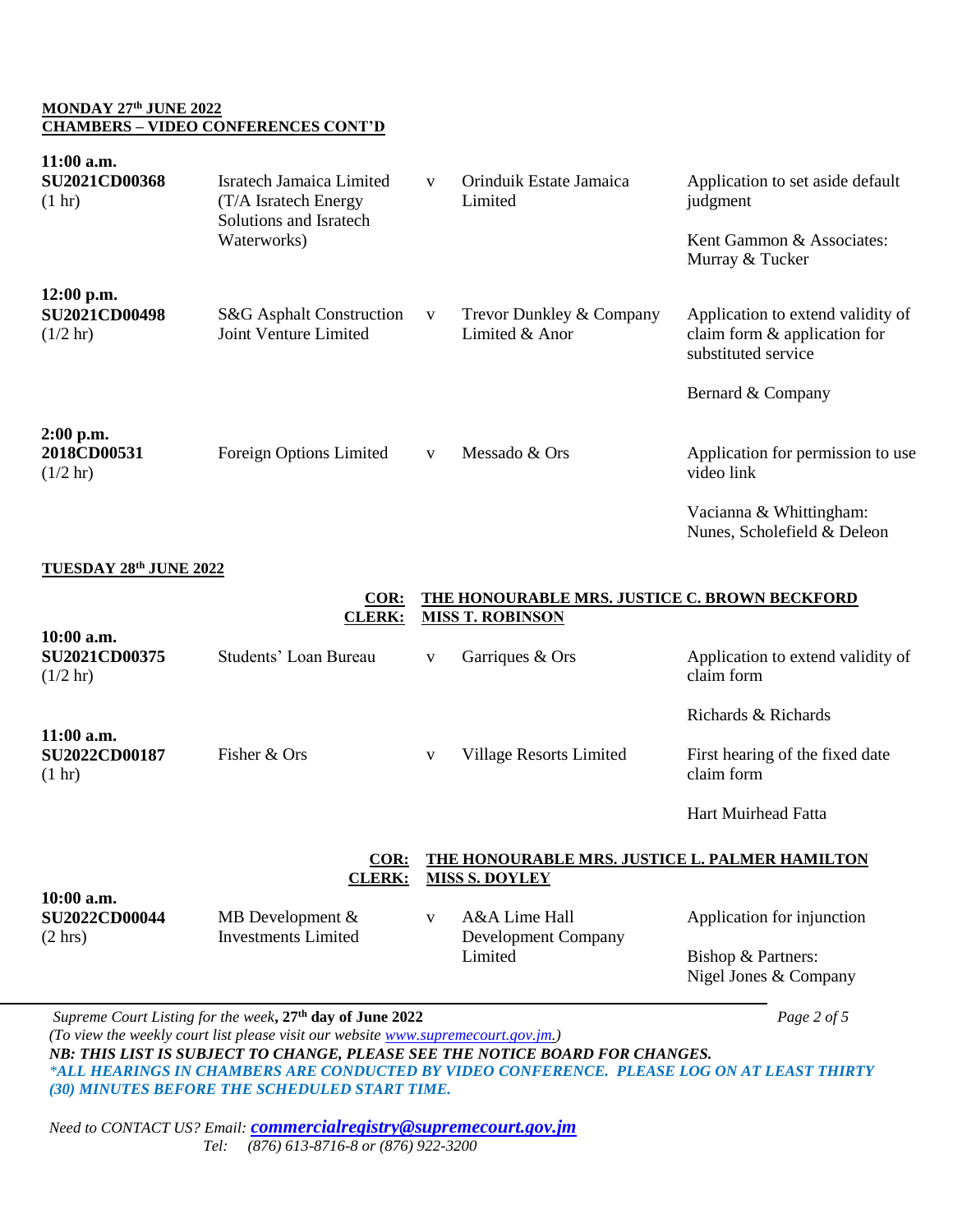### **MONDAY 27th JUNE 2022 CHAMBERS – VIDEO CONFERENCES CONT'D**

| 11:00 a.m.<br><b>SU2021CD00368</b><br>(1 hr)               | <b>Isratech Jamaica Limited</b><br>(T/A Isratech Energy<br>Solutions and Isratech<br>Waterworks)                                                                                                                            | V | Orinduik Estate Jamaica<br>Limited                                       | Application to set aside default<br>judgment                                             |  |  |
|------------------------------------------------------------|-----------------------------------------------------------------------------------------------------------------------------------------------------------------------------------------------------------------------------|---|--------------------------------------------------------------------------|------------------------------------------------------------------------------------------|--|--|
|                                                            |                                                                                                                                                                                                                             |   |                                                                          | Kent Gammon & Associates:<br>Murray & Tucker                                             |  |  |
| $12:00$ p.m.<br><b>SU2021CD00498</b><br>$(1/2 \text{ hr})$ | S&G Asphalt Construction<br>Joint Venture Limited                                                                                                                                                                           | V | Trevor Dunkley & Company<br>Limited & Anor                               | Application to extend validity of<br>claim form & application for<br>substituted service |  |  |
|                                                            |                                                                                                                                                                                                                             |   |                                                                          | Bernard & Company                                                                        |  |  |
| $2:00$ p.m.<br>2018CD00531<br>$(1/2 \text{ hr})$           | Foreign Options Limited                                                                                                                                                                                                     | V | Messado & Ors                                                            | Application for permission to use<br>video link                                          |  |  |
|                                                            |                                                                                                                                                                                                                             |   |                                                                          | Vacianna & Whittingham:<br>Nunes, Scholefield & Deleon                                   |  |  |
| <b>TUESDAY 28th JUNE 2022</b>                              |                                                                                                                                                                                                                             |   |                                                                          |                                                                                          |  |  |
|                                                            | COR:<br><b>CLERK:</b>                                                                                                                                                                                                       |   | THE HONOURABLE MRS. JUSTICE C. BROWN BECKFORD<br><b>MISS T. ROBINSON</b> |                                                                                          |  |  |
| 10:00 a.m.<br>SU2021CD00375<br>$(1/2 \text{ hr})$          | Students' Loan Bureau                                                                                                                                                                                                       | V | Garriques & Ors                                                          | Application to extend validity of<br>claim form                                          |  |  |
|                                                            |                                                                                                                                                                                                                             |   |                                                                          | Richards & Richards                                                                      |  |  |
| 11:00 a.m.<br>SU2022CD00187<br>$(1 \text{ hr})$            | Fisher & Ors                                                                                                                                                                                                                | V | <b>Village Resorts Limited</b>                                           | First hearing of the fixed date<br>claim form                                            |  |  |
|                                                            |                                                                                                                                                                                                                             |   |                                                                          | Hart Muirhead Fatta                                                                      |  |  |
|                                                            | $COR$ :<br>THE HONOURABLE MRS. JUSTICE L. PALMER HAMILTON<br><b>CLERK:</b><br><b>MISS S. DOYLEY</b>                                                                                                                         |   |                                                                          |                                                                                          |  |  |
| 10:00 a.m.<br><b>SU2022CD00044</b><br>$(2 \text{ hrs})$    | MB Development $&$<br><b>Investments Limited</b>                                                                                                                                                                            | V | A&A Lime Hall<br>Development Company<br>Limited                          | Application for injunction                                                               |  |  |
|                                                            |                                                                                                                                                                                                                             |   |                                                                          | Bishop & Partners:<br>Nigel Jones & Company                                              |  |  |
|                                                            | Supreme Court Listing for the week, 27 <sup>th</sup> day of June 2022<br>(To view the weekly court list please visit our website www.supremecourt.gov.jm.)                                                                  |   |                                                                          | Page 2 of 5                                                                              |  |  |
|                                                            | NB: THIS LIST IS SUBJECT TO CHANGE, PLEASE SEE THE NOTICE BOARD FOR CHANGES.<br>*ALL HEARINGS IN CHAMBERS ARE CONDUCTED BY VIDEO CONFERENCE. PLEASE LOG ON AT LEAST THIRTY<br>(30) MINUTES BEFORE THE SCHEDULED START TIME. |   |                                                                          |                                                                                          |  |  |
|                                                            | ONTA CT US? Email, commercial registry@supremecourt gov im                                                                                                                                                                  |   |                                                                          |                                                                                          |  |  |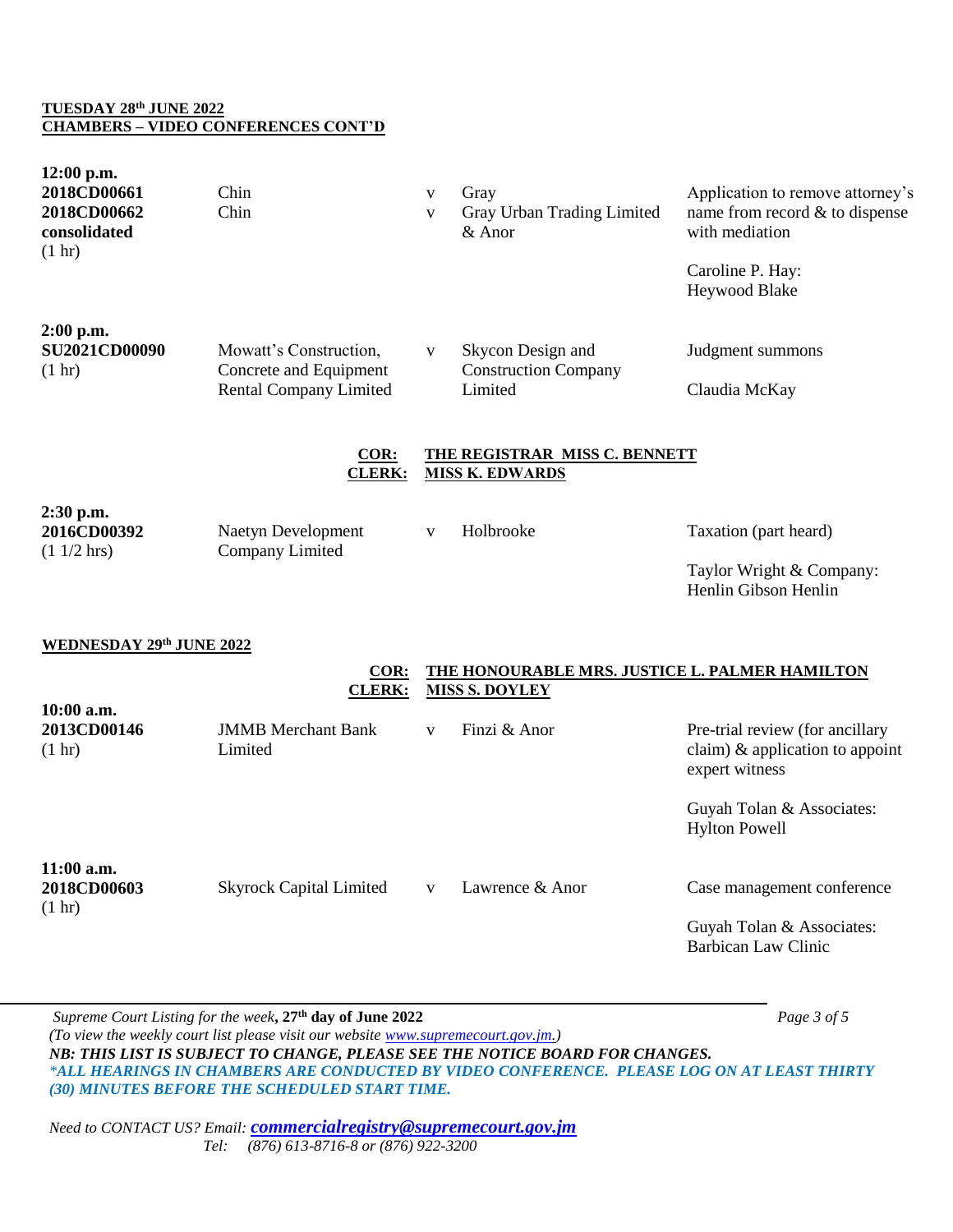### **TUESDAY 28th JUNE 2022 CHAMBERS – VIDEO CONFERENCES CONT'D**

| $12:00$ p.m.<br>2018CD00661<br>2018CD00662<br>consolidated<br>$(1 \text{ hr})$ | Chin<br>Chin                                                                      | $\mathbf V$<br>$\mathbf{V}$                                             | Gray<br>Gray Urban Trading Limited<br>& Anor                | Application to remove attorney's<br>name from record $&$ to dispense<br>with mediation<br>Caroline P. Hay:<br>Heywood Blake |  |  |
|--------------------------------------------------------------------------------|-----------------------------------------------------------------------------------|-------------------------------------------------------------------------|-------------------------------------------------------------|-----------------------------------------------------------------------------------------------------------------------------|--|--|
| $2:00$ p.m.<br><b>SU2021CD00090</b><br>(1 hr)                                  | Mowatt's Construction,<br>Concrete and Equipment<br><b>Rental Company Limited</b> | $\mathbf{V}$                                                            | Skycon Design and<br><b>Construction Company</b><br>Limited | Judgment summons<br>Claudia McKay                                                                                           |  |  |
|                                                                                | COR:<br><b>CLERK:</b>                                                             | THE REGISTRAR MISS C. BENNETT<br><b>MISS K. EDWARDS</b>                 |                                                             |                                                                                                                             |  |  |
| 2:30 p.m.<br>2016CD00392<br>$(11/2)$ hrs)                                      | Naetyn Development<br>Company Limited                                             | $\mathbf{V}$                                                            | Holbrooke                                                   | Taxation (part heard)<br>Taylor Wright & Company:<br>Henlin Gibson Henlin                                                   |  |  |
| WEDNESDAY 29th JUNE 2022                                                       |                                                                                   |                                                                         |                                                             |                                                                                                                             |  |  |
|                                                                                | $COR$ :<br><b>CLERK:</b>                                                          | THE HONOURABLE MRS. JUSTICE L. PALMER HAMILTON<br><b>MISS S. DOYLEY</b> |                                                             |                                                                                                                             |  |  |
| 10:00 a.m.<br>2013CD00146<br>(1 hr)                                            | <b>JMMB</b> Merchant Bank<br>Limited                                              | V                                                                       | Finzi & Anor                                                | Pre-trial review (for ancillary<br>claim) & application to appoint<br>expert witness                                        |  |  |
|                                                                                |                                                                                   |                                                                         |                                                             | Guyah Tolan & Associates:<br><b>Hylton Powell</b>                                                                           |  |  |
| 11:00 a.m.<br>2018CD00603<br>$(1 \text{ hr})$                                  | <b>Skyrock Capital Limited</b>                                                    | V                                                                       | Lawrence & Anor                                             | Case management conference<br>Guyah Tolan & Associates:<br><b>Barbican Law Clinic</b>                                       |  |  |

*Supreme Court Listing for the week***, 27th day of June 2022** *Page 3 of 5 (To view the weekly court list please visit our website [www.supremecourt.gov.jm.](http://www.supremecourt.gov.jm/)) NB: THIS LIST IS SUBJECT TO CHANGE, PLEASE SEE THE NOTICE BOARD FOR CHANGES. \*ALL HEARINGS IN CHAMBERS ARE CONDUCTED BY VIDEO CONFERENCE. PLEASE LOG ON AT LEAST THIRTY (30) MINUTES BEFORE THE SCHEDULED START TIME.*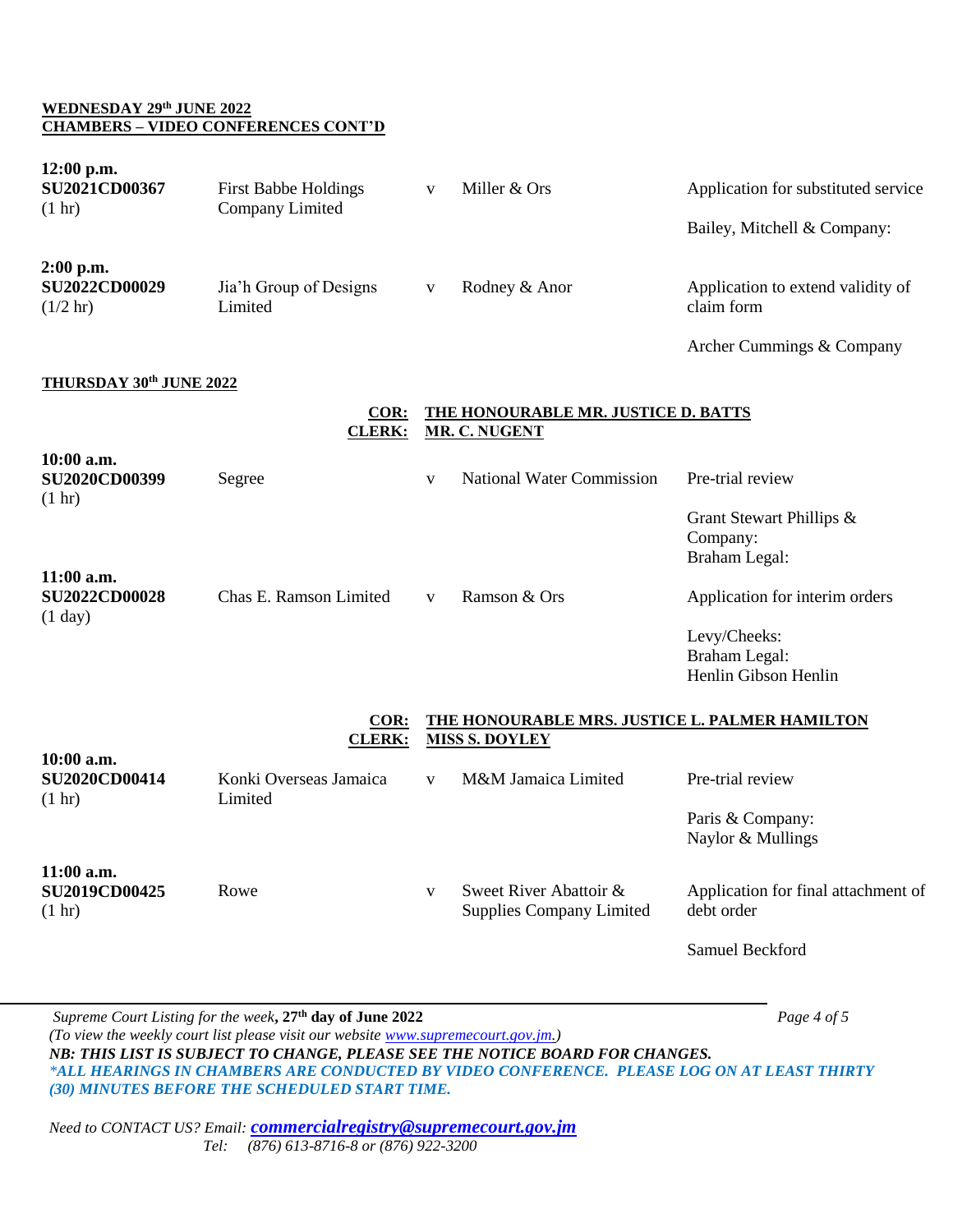### **WEDNESDAY 29th JUNE 2022 CHAMBERS – VIDEO CONFERENCES CONT'D**

| 12:00 p.m.<br><b>SU2021CD00367</b><br>(1 hr)              | <b>First Babbe Holdings</b><br>Company Limited | V | Miller & Ors                                                            | Application for substituted service<br>Bailey, Mitchell & Company: |
|-----------------------------------------------------------|------------------------------------------------|---|-------------------------------------------------------------------------|--------------------------------------------------------------------|
| $2:00$ p.m.<br><b>SU2022CD00029</b><br>$(1/2 \text{ hr})$ | Jia'h Group of Designs<br>Limited              | V | Rodney & Anor                                                           | Application to extend validity of<br>claim form                    |
|                                                           |                                                |   |                                                                         | Archer Cummings & Company                                          |
| THURSDAY 30th JUNE 2022                                   |                                                |   |                                                                         |                                                                    |
|                                                           | COR:<br><b>CLERK:</b>                          |   | <b>THE HONOURABLE MR. JUSTICE D. BATTS</b><br><b>MR. C. NUGENT</b>      |                                                                    |
| 10:00 a.m.<br><b>SU2020CD00399</b><br>(1 hr)              | Segree                                         | V | <b>National Water Commission</b>                                        | Pre-trial review                                                   |
|                                                           |                                                |   |                                                                         | Grant Stewart Phillips &<br>Company:<br>Braham Legal:              |
| 11:00 a.m.<br><b>SU2022CD00028</b><br>(1 day)             | Chas E. Ramson Limited                         | V | Ramson & Ors                                                            | Application for interim orders                                     |
|                                                           |                                                |   |                                                                         | Levy/Cheeks:<br>Braham Legal:<br>Henlin Gibson Henlin              |
|                                                           | COR:<br><b>CLERK:</b>                          |   | THE HONOURABLE MRS. JUSTICE L. PALMER HAMILTON<br><b>MISS S. DOYLEY</b> |                                                                    |
| 10:00 a.m.<br><b>SU2020CD00414</b><br>(1 hr)              | Konki Overseas Jamaica<br>Limited              | V | M&M Jamaica Limited                                                     | Pre-trial review                                                   |
|                                                           |                                                |   |                                                                         | Paris & Company:<br>Naylor & Mullings                              |
| 11:00 a.m.<br><b>SU2019CD00425</b><br>$(1 \text{ hr})$    | Rowe                                           | V | Sweet River Abattoir &<br><b>Supplies Company Limited</b>               | Application for final attachment of<br>debt order                  |
|                                                           |                                                |   |                                                                         | Samuel Beckford                                                    |

*Supreme Court Listing for the week***, 27th day of June 2022** *Page 4 of 5 (To view the weekly court list please visit our website [www.supremecourt.gov.jm.](http://www.supremecourt.gov.jm/)) NB: THIS LIST IS SUBJECT TO CHANGE, PLEASE SEE THE NOTICE BOARD FOR CHANGES. \*ALL HEARINGS IN CHAMBERS ARE CONDUCTED BY VIDEO CONFERENCE. PLEASE LOG ON AT LEAST THIRTY (30) MINUTES BEFORE THE SCHEDULED START TIME.*